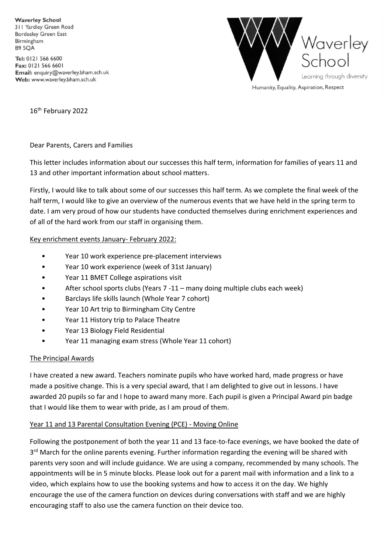**Waverley School** 311 Yardley Green Road **Bordesley Green East** Birmingham **B9 5OA** 

Tel: 0121 566 6600 Fax: 0121 566 6601 Email: enquiry@waverley.bham.sch.uk Web: www.waverley.bham.sch.uk



Humanity, Equality, Aspiration, Respect

16<sup>th</sup> February 2022

Dear Parents, Carers and Families

This letter includes information about our successes this half term, information for families of years 11 and 13 and other important information about school matters.

Firstly, I would like to talk about some of our successes this half term. As we complete the final week of the half term, I would like to give an overview of the numerous events that we have held in the spring term to date. I am very proud of how our students have conducted themselves during enrichment experiences and of all of the hard work from our staff in organising them.

#### Key enrichment events January- February 2022:

- Year 10 work experience pre-placement interviews
- Year 10 work experience (week of 31st January)
- Year 11 BMET College aspirations visit
- After school sports clubs (Years 7 -11 many doing multiple clubs each week)
- Barclays life skills launch (Whole Year 7 cohort)
- Year 10 Art trip to Birmingham City Centre
- Year 11 History trip to Palace Theatre
- Year 13 Biology Field Residential
- Year 11 managing exam stress (Whole Year 11 cohort)

#### The Principal Awards

I have created a new award. Teachers nominate pupils who have worked hard, made progress or have made a positive change. This is a very special award, that I am delighted to give out in lessons. I have awarded 20 pupils so far and I hope to award many more. Each pupil is given a Principal Award pin badge that I would like them to wear with pride, as I am proud of them.

#### Year 11 and 13 Parental Consultation Evening (PCE) - Moving Online

Following the postponement of both the year 11 and 13 face-to-face evenings, we have booked the date of 3<sup>rd</sup> March for the online parents evening. Further information regarding the evening will be shared with parents very soon and will include guidance. We are using a company, recommended by many schools. The appointments will be in 5 minute blocks. Please look out for a parent mail with information and a link to a video, which explains how to use the booking systems and how to access it on the day. We highly encourage the use of the camera function on devices during conversations with staff and we are highly encouraging staff to also use the camera function on their device too.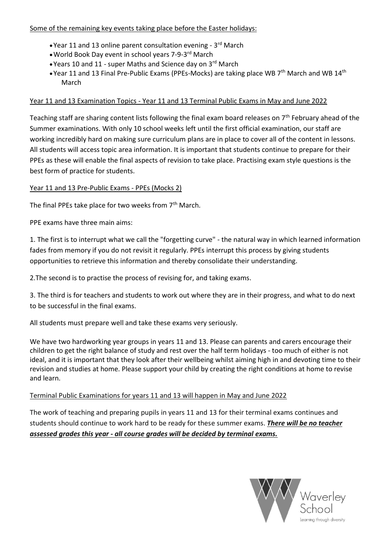## Some of the remaining key events taking place before the Easter holidays:

- Year 11 and 13 online parent consultation evening 3<sup>rd</sup> March
- World Book Day event in school years 7-9-3 rd March
- Years 10 and 11 super Maths and Science day on 3rd March
- Year 11 and 13 Final Pre-Public Exams (PPEs-Mocks) are taking place WB  $7<sup>th</sup>$  March and WB  $14<sup>th</sup>$ March

# Year 11 and 13 Examination Topics - Year 11 and 13 Terminal Public Exams in May and June 2022

Teaching staff are sharing content lists following the final exam board releases on 7<sup>th</sup> February ahead of the Summer examinations. With only 10 school weeks left until the first official examination, our staff are working incredibly hard on making sure curriculum plans are in place to cover all of the content in lessons. All students will access topic area information. It is important that students continue to prepare for their PPEs as these will enable the final aspects of revision to take place. Practising exam style questions is the best form of practice for students.

## Year 11 and 13 Pre-Public Exams - PPEs (Mocks 2)

The final PPEs take place for two weeks from 7<sup>th</sup> March.

PPE exams have three main aims:

1. The first is to interrupt what we call the "forgetting curve" - the natural way in which learned information fades from memory if you do not revisit it regularly. PPEs interrupt this process by giving students opportunities to retrieve this information and thereby consolidate their understanding.

2.The second is to practise the process of revising for, and taking exams.

3. The third is for teachers and students to work out where they are in their progress, and what to do next to be successful in the final exams.

All students must prepare well and take these exams very seriously.

We have two hardworking year groups in years 11 and 13. Please can parents and carers encourage their children to get the right balance of study and rest over the half term holidays - too much of either is not ideal, and it is important that they look after their wellbeing whilst aiming high in and devoting time to their revision and studies at home. Please support your child by creating the right conditions at home to revise and learn.

# Terminal Public Examinations for years 11 and 13 will happen in May and June 2022

The work of teaching and preparing pupils in years 11 and 13 for their terminal exams continues and students should continue to work hard to be ready for these summer exams. *There will be no teacher assessed grades this year - all course grades will be decided by terminal exams.*

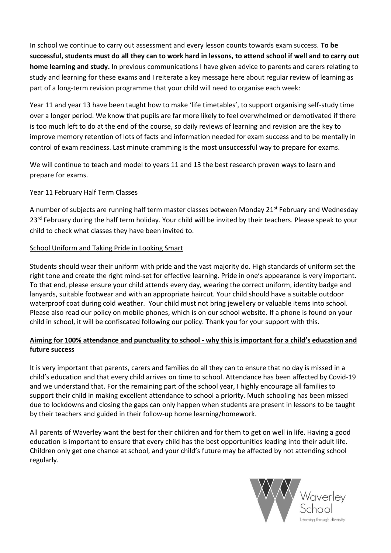In school we continue to carry out assessment and every lesson counts towards exam success. **To be successful, students must do all they can to work hard in lessons, to attend school if well and to carry out home learning and study.** In previous communications I have given advice to parents and carers relating to study and learning for these exams and I reiterate a key message here about regular review of learning as part of a long-term revision programme that your child will need to organise each week:

Year 11 and year 13 have been taught how to make 'life timetables', to support organising self-study time over a longer period. We know that pupils are far more likely to feel overwhelmed or demotivated if there is too much left to do at the end of the course, so daily reviews of learning and revision are the key to improve memory retention of lots of facts and information needed for exam success and to be mentally in control of exam readiness. Last minute cramming is the most unsuccessful way to prepare for exams.

We will continue to teach and model to years 11 and 13 the best research proven ways to learn and prepare for exams.

### Year 11 February Half Term Classes

A number of subjects are running half term master classes between Monday 21st February and Wednesday 23<sup>rd</sup> February during the half term holiday. Your child will be invited by their teachers. Please speak to your child to check what classes they have been invited to.

#### School Uniform and Taking Pride in Looking Smart

Students should wear their uniform with pride and the vast majority do. High standards of uniform set the right tone and create the right mind-set for effective learning. Pride in one's appearance is very important. To that end, please ensure your child attends every day, wearing the correct uniform, identity badge and lanyards, suitable footwear and with an appropriate haircut. Your child should have a suitable outdoor waterproof coat during cold weather. Your child must not bring jewellery or valuable items into school. Please also read our policy on mobile phones, which is on our school website. If a phone is found on your child in school, it will be confiscated following our policy. Thank you for your support with this.

## **Aiming for 100% attendance and punctuality to school - why this is important for a child's education and future success**

It is very important that parents, carers and families do all they can to ensure that no day is missed in a child's education and that every child arrives on time to school. Attendance has been affected by Covid-19 and we understand that. For the remaining part of the school year, I highly encourage all families to support their child in making excellent attendance to school a priority. Much schooling has been missed due to lockdowns and closing the gaps can only happen when students are present in lessons to be taught by their teachers and guided in their follow-up home learning/homework.

All parents of Waverley want the best for their children and for them to get on well in life. Having a good education is important to ensure that every child has the best opportunities leading into their adult life. Children only get one chance at school, and your child's future may be affected by not attending school regularly.

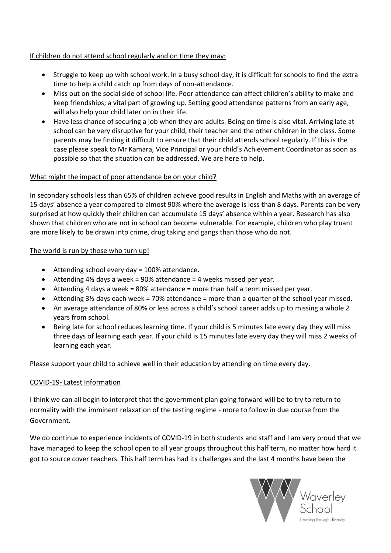### If children do not attend school regularly and on time they may:

- Struggle to keep up with school work. In a busy school day, it is difficult for schools to find the extra time to help a child catch up from days of non-attendance.
- Miss out on the social side of school life. Poor attendance can affect children's ability to make and keep friendships; a vital part of growing up. Setting good attendance patterns from an early age, will also help your child later on in their life.
- Have less chance of securing a job when they are adults. Being on time is also vital. Arriving late at school can be very disruptive for your child, their teacher and the other children in the class. Some parents may be finding it difficult to ensure that their child attends school regularly. If this is the case please speak to Mr Kamara, Vice Principal or your child's Achievement Coordinator as soon as possible so that the situation can be addressed. We are here to help.

### What might the impact of poor attendance be on your child?

In secondary schools less than 65% of children achieve good results in English and Maths with an average of 15 days' absence a year compared to almost 90% where the average is less than 8 days. Parents can be very surprised at how quickly their children can accumulate 15 days' absence within a year. Research has also shown that children who are not in school can become vulnerable. For example, children who play truant are more likely to be drawn into crime, drug taking and gangs than those who do not.

### The world is run by those who turn up!

- Attending school every day = 100% attendance.
- Attending  $4\frac{1}{2}$  days a week = 90% attendance = 4 weeks missed per year.
- Attending 4 days a week = 80% attendance = more than half a term missed per year.
- $\bullet$  Attending 3½ days each week = 70% attendance = more than a quarter of the school year missed.
- An average attendance of 80% or less across a child's school career adds up to missing a whole 2 years from school.
- Being late for school reduces learning time. If your child is 5 minutes late every day they will miss three days of learning each year. If your child is 15 minutes late every day they will miss 2 weeks of learning each year.

Please support your child to achieve well in their education by attending on time every day.

#### COVID-19- Latest Information

I think we can all begin to interpret that the government plan going forward will be to try to return to normality with the imminent relaxation of the testing regime - more to follow in due course from the Government.

We do continue to experience incidents of COVID-19 in both students and staff and I am very proud that we have managed to keep the school open to all year groups throughout this half term, no matter how hard it got to source cover teachers. This half term has had its challenges and the last 4 months have been the